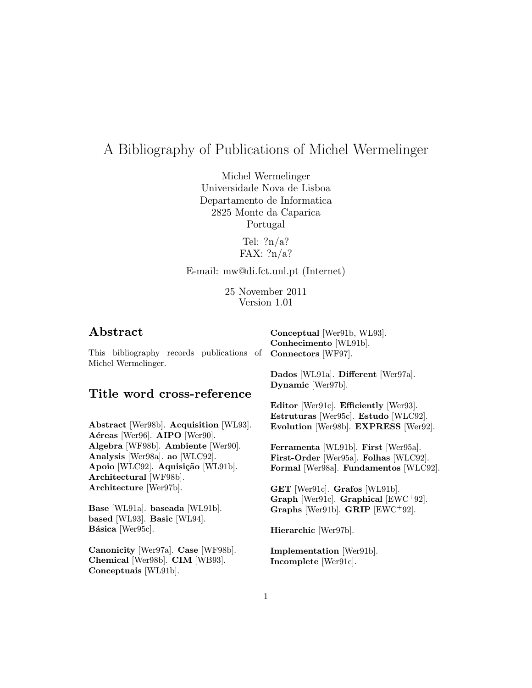# A Bibliography of Publications of Michel Wermelinger

Michel Wermelinger Universidade Nova de Lisboa Departamento de Informatica 2825 Monte da Caparica Portugal

> Tel:  $?n/a?$ FAX: ?n/a?

E-mail: mw@di.fct.unl.pt (Internet)

25 November 2011 Version 1.01

# Abstract

This bibliography records publications of **Connectors** [WF97]. Michel Wermelinger.

# Title word cross-reference

Abstract [Wer98b]. Acquisition [WL93]. Aéreas [Wer96]. AIPO [Wer90]. Algebra [WF98b]. Ambiente [Wer90]. Analysis [Wer98a]. ao [WLC92]. Apoio [WLC92]. Aquisição [WL91b]. Architectural [WF98b]. Architecture [Wer97b].

Base [WL91a]. baseada [WL91b]. based [WL93]. Basic [WL94]. Básica [Wer95c].

Canonicity [Wer97a]. Case [WF98b]. Chemical [Wer98b]. CIM [WB93]. Conceptuais [WL91b].

Conhecimento [WL91b].

Conceptual [Wer91b, WL93].

Dados [WL91a]. Different [Wer97a]. Dynamic [Wer97b].

Editor [Wer91c]. Efficiently [Wer93]. Estruturas [Wer95c]. Estudo [WLC92]. Evolution [Wer98b]. EXPRESS [Wer92].

Ferramenta [WL91b]. First [Wer95a]. First-Order [Wer95a]. Folhas [WLC92]. Formal [Wer98a]. Fundamentos [WLC92].

GET [Wer91c]. Grafos [WL91b]. Graph [Wer91c]. Graphical [EWC<sup>+</sup>92]. Graphs [Wer91b]. GRIP [EWC<sup>+</sup>92].

Hierarchic [Wer97b].

Implementation [Wer91b]. Incomplete [Wer91c].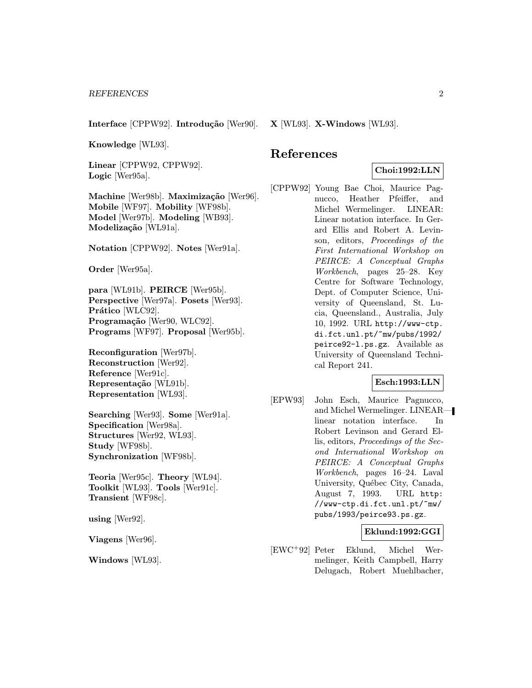Interface [CPPW92]. Introdução [Wer90].

Knowledge [WL93].

Linear [CPPW92, CPPW92]. Logic [Wer95a].

Machine [Wer98b]. Maximização [Wer96]. Mobile [WF97]. Mobility [WF98b]. Model [Wer97b]. Modeling [WB93]. Modelização [WL91a].

Notation [CPPW92]. Notes [Wer91a].

Order [Wer95a].

para [WL91b]. PEIRCE [Wer95b]. Perspective [Wer97a]. Posets [Wer93]. Prático [WLC92]. Programação [Wer90, WLC92]. Programs [WF97]. Proposal [Wer95b].

Reconfiguration [Wer97b]. Reconstruction [Wer92]. Reference [Wer91c]. Representação [WL91b]. Representation [WL93].

Searching [Wer93]. Some [Wer91a]. Specification [Wer98a]. Structures [Wer92, WL93]. Study [WF98b]. Synchronization [WF98b].

Teoria [Wer95c]. Theory [WL94]. Toolkit [WL93]. Tools [Wer91c]. Transient [WF98c].

using [Wer92].

Viagens [Wer96].

Windows [WL93].

X [WL93]. X-Windows [WL93].

# References

# Choi:1992:LLN

[CPPW92] Young Bae Choi, Maurice Pagnucco, Heather Pfeiffer, and Michel Wermelinger. LINEAR: Linear notation interface. In Gerard Ellis and Robert A. Levinson, editors, Proceedings of the First International Workshop on PEIRCE: A Conceptual Graphs Workbench, pages 25–28. Key Centre for Software Technology, Dept. of Computer Science, University of Queensland, St. Lucia, Queensland., Australia, July 10, 1992. URL http://www-ctp. di.fct.unl.pt/~mw/pubs/1992/ peirce92-l.ps.gz. Available as University of Queensland Technical Report 241.

# Esch:1993:LLN

[EPW93] John Esch, Maurice Pagnucco, and Michel Wermelinger. LINEAR linear notation interface. In Robert Levinson and Gerard Ellis, editors, Proceedings of the Second International Workshop on PEIRCE: A Conceptual Graphs Workbench, pages 16–24. Laval University, Québec City, Canada, August 7, 1993. URL http: //www-ctp.di.fct.unl.pt/~mw/ pubs/1993/peirce93.ps.gz.

# Eklund:1992:GGI

[EWC<sup>+</sup>92] Peter Eklund, Michel Wermelinger, Keith Campbell, Harry Delugach, Robert Muehlbacher,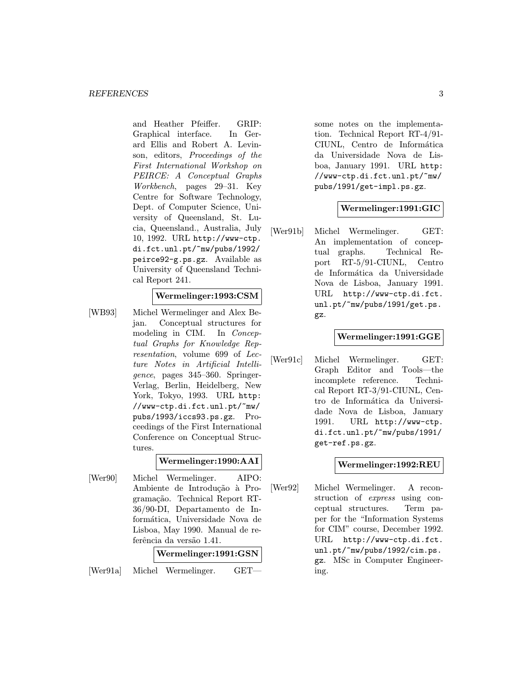and Heather Pfeiffer. GRIP: Graphical interface. In Gerard Ellis and Robert A. Levinson, editors, Proceedings of the First International Workshop on PEIRCE: A Conceptual Graphs Workbench, pages 29–31. Key Centre for Software Technology, Dept. of Computer Science, University of Queensland, St. Lucia, Queensland., Australia, July 10, 1992. URL http://www-ctp. di.fct.unl.pt/~mw/pubs/1992/ peirce92-g.ps.gz. Available as University of Queensland Technical Report 241.

# Wermelinger:1993:CSM

[WB93] Michel Wermelinger and Alex Bejan. Conceptual structures for modeling in CIM. In Conceptual Graphs for Knowledge Representation, volume 699 of Lecture Notes in Artificial Intelligence, pages 345–360. Springer-Verlag, Berlin, Heidelberg, New York, Tokyo, 1993. URL http: //www-ctp.di.fct.unl.pt/~mw/ pubs/1993/iccs93.ps.gz. Proceedings of the First International Conference on Conceptual Structures.

# Wermelinger:1990:AAI

[Wer90] Michel Wermelinger. AIPO: Ambiente de Introdução à Programação. Technical Report RT-36/90-DI, Departamento de Informática, Universidade Nova de Lisboa, May 1990. Manual de referência da versão 1.41.

# Wermelinger:1991:GSN [Wer91a] Michel Wermelinger. GET—

some notes on the implementation. Technical Report RT-4/91- CIUNL, Centro de Informática da Universidade Nova de Lisboa, January 1991. URL http: //www-ctp.di.fct.unl.pt/~mw/ pubs/1991/get-impl.ps.gz.

# Wermelinger:1991:GIC

[Wer91b] Michel Wermelinger. GET: An implementation of conceptual graphs. Technical Report RT-5/91-CIUNL, Centro de Informática da Universidade Nova de Lisboa, January 1991. URL http://www-ctp.di.fct. unl.pt/~mw/pubs/1991/get.ps. gz.

## Wermelinger:1991:GGE

[Wer91c] Michel Wermelinger. GET: Graph Editor and Tools—the incomplete reference. Technical Report RT-3/91-CIUNL, Centro de Informática da Universidade Nova de Lisboa, January 1991. URL http://www-ctp. di.fct.unl.pt/~mw/pubs/1991/ get-ref.ps.gz.

# Wermelinger:1992:REU

[Wer92] Michel Wermelinger. A reconstruction of express using conceptual structures. Term paper for the "Information Systems for CIM" course, December 1992. URL http://www-ctp.di.fct. unl.pt/~mw/pubs/1992/cim.ps. gz. MSc in Computer Engineering.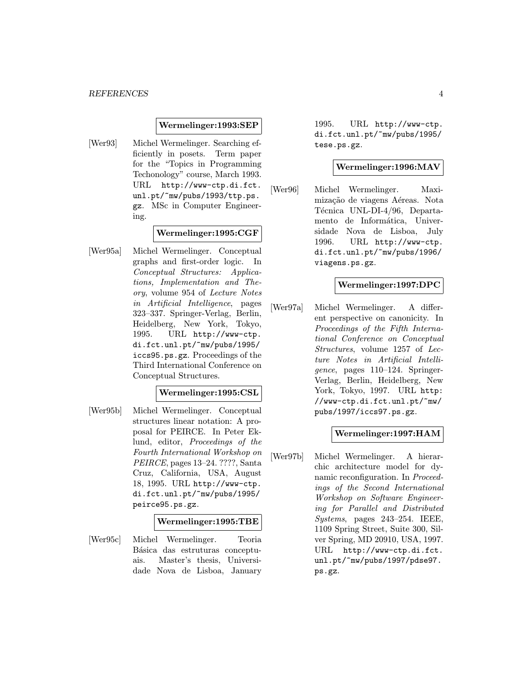#### Wermelinger:1993:SEP

[Wer93] Michel Wermelinger. Searching efficiently in posets. Term paper for the "Topics in Programming Techonology" course, March 1993. URL http://www-ctp.di.fct. unl.pt/~mw/pubs/1993/ttp.ps. gz. MSc in Computer Engineering.

## Wermelinger:1995:CGF

[Wer95a] Michel Wermelinger. Conceptual graphs and first-order logic. In Conceptual Structures: Applications, Implementation and Theory, volume 954 of Lecture Notes in Artificial Intelligence, pages 323–337. Springer-Verlag, Berlin, Heidelberg, New York, Tokyo, 1995. URL http://www-ctp. di.fct.unl.pt/~mw/pubs/1995/ iccs95.ps.gz. Proceedings of the Third International Conference on Conceptual Structures.

## Wermelinger:1995:CSL

[Wer95b] Michel Wermelinger. Conceptual structures linear notation: A proposal for PEIRCE. In Peter Eklund, editor, Proceedings of the Fourth International Workshop on PEIRCE, pages 13–24. ????, Santa Cruz, California, USA, August 18, 1995. URL http://www-ctp. di.fct.unl.pt/~mw/pubs/1995/ peirce95.ps.gz.

#### Wermelinger:1995:TBE

[Wer95c] Michel Wermelinger. Teoria Básica das estruturas conceptuais. Master's thesis, Universidade Nova de Lisboa, January

1995. URL http://www-ctp. di.fct.unl.pt/~mw/pubs/1995/ tese.ps.gz.

# Wermelinger:1996:MAV

[Wer96] Michel Wermelinger. Maximização de viagens Aéreas. Nota Técnica UNL-DI-4/96, Departamento de Informática, Universidade Nova de Lisboa, July 1996. URL http://www-ctp. di.fct.unl.pt/~mw/pubs/1996/ viagens.ps.gz.

## Wermelinger:1997:DPC

[Wer97a] Michel Wermelinger. A different perspective on canonicity. In Proceedings of the Fifth International Conference on Conceptual Structures, volume 1257 of Lecture Notes in Artificial Intelligence, pages 110–124. Springer-Verlag, Berlin, Heidelberg, New York, Tokyo, 1997. URL http: //www-ctp.di.fct.unl.pt/~mw/ pubs/1997/iccs97.ps.gz.

# Wermelinger:1997:HAM

[Wer97b] Michel Wermelinger. A hierarchic architecture model for dynamic reconfiguration. In Proceedings of the Second International Workshop on Software Engineering for Parallel and Distributed Systems, pages 243–254. IEEE, 1109 Spring Street, Suite 300, Silver Spring, MD 20910, USA, 1997. URL http://www-ctp.di.fct. unl.pt/~mw/pubs/1997/pdse97. ps.gz.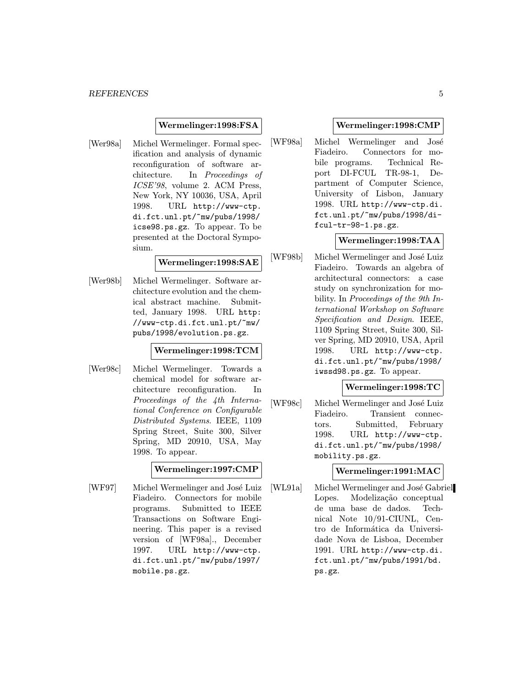## Wermelinger:1998:FSA

[Wer98a] Michel Wermelinger. Formal specification and analysis of dynamic reconfiguration of software architecture. In Proceedings of ICSE'98, volume 2. ACM Press, New York, NY 10036, USA, April 1998. URL http://www-ctp. di.fct.unl.pt/~mw/pubs/1998/ icse98.ps.gz. To appear. To be presented at the Doctoral Symposium.

# Wermelinger:1998:SAE

[Wer98b] Michel Wermelinger. Software architecture evolution and the chemical abstract machine. Submitted, January 1998. URL http: //www-ctp.di.fct.unl.pt/~mw/ pubs/1998/evolution.ps.gz.

# Wermelinger:1998:TCM

[Wer98c] Michel Wermelinger. Towards a chemical model for software architecture reconfiguration. In Proceedings of the 4th International Conference on Configurable Distributed Systems. IEEE, 1109 Spring Street, Suite 300, Silver Spring, MD 20910, USA, May 1998. To appear.

# Wermelinger:1997:CMP

[WF97] Michel Wermelinger and José Luiz Fiadeiro. Connectors for mobile programs. Submitted to IEEE Transactions on Software Engineering. This paper is a revised version of [WF98a]., December 1997. URL http://www-ctp. di.fct.unl.pt/~mw/pubs/1997/ mobile.ps.gz.

#### Wermelinger:1998:CMP

[WF98a] Michel Wermelinger and José Fiadeiro. Connectors for mobile programs. Technical Report DI-FCUL TR-98-1, Department of Computer Science, University of Lisbon, January 1998. URL http://www-ctp.di. fct.unl.pt/~mw/pubs/1998/difcul-tr-98-1.ps.gz.

## Wermelinger:1998:TAA

[WF98b] Michel Wermelinger and José Luiz Fiadeiro. Towards an algebra of architectural connectors: a case study on synchronization for mobility. In Proceedings of the 9th International Workshop on Software Specification and Design. IEEE, 1109 Spring Street, Suite 300, Silver Spring, MD 20910, USA, April 1998. URL http://www-ctp. di.fct.unl.pt/~mw/pubs/1998/ iwssd98.ps.gz. To appear.

# Wermelinger:1998:TC

[WF98c] Michel Wermelinger and José Luiz Fiadeiro. Transient connectors. Submitted, February 1998. URL http://www-ctp. di.fct.unl.pt/~mw/pubs/1998/ mobility.ps.gz.

# Wermelinger:1991:MAC

[WL91a] Michel Wermelinger and José Gabriel Lopes. Modelização conceptual de uma base de dados. Technical Note 10/91-CIUNL, Centro de Informática da Universidade Nova de Lisboa, December 1991. URL http://www-ctp.di. fct.unl.pt/~mw/pubs/1991/bd. ps.gz.